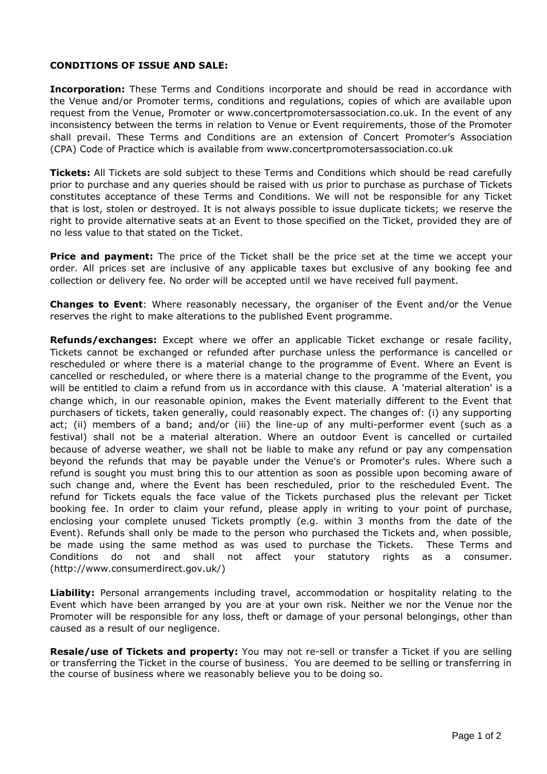## **CONDITIONS OF ISSUE AND SALE:**

**Incorporation:** These Terms and Conditions incorporate and should be read in accordance with the Venue and/or Promoter terms, conditions and regulations, copies of which are available upon request from the Venue, Promoter or www.concertpromotersassociation.co.uk. In the event of any inconsistency between the terms in relation to Venue or Event requirements, those of the Promoter shall prevail. These Terms and Conditions are an extension of Concert Promoter's Association (CPA) Code of Practice which is available from www.concertpromotersassociation.co.uk

**Tickets:** All Tickets are sold subject to these Terms and Conditions which should be read carefully prior to purchase and any queries should be raised with us prior to purchase as purchase of Tickets constitutes acceptance of these Terms and Conditions. We will not be responsible for any Ticket that is lost, stolen or destroyed. It is not always possible to issue duplicate tickets; we reserve the right to provide alternative seats at an Event to those specified on the Ticket, provided they are of no less value to that stated on the Ticket.

**Price and payment:** The price of the Ticket shall be the price set at the time we accept your order. All prices set are inclusive of any applicable taxes but exclusive of any booking fee and collection or delivery fee. No order will be accepted until we have received full payment.

**Changes to Event**: Where reasonably necessary, the organiser of the Event and/or the Venue reserves the right to make alterations to the published Event programme.

**Refunds/exchanges:** Except where we offer an applicable Ticket exchange or resale facility, Tickets cannot be exchanged or refunded after purchase unless the performance is cancelled or rescheduled or where there is a material change to the programme of Event. Where an Event is cancelled or rescheduled, or where there is a material change to the programme of the Event, you will be entitled to claim a refund from us in accordance with this clause. A 'material alteration' is a change which, in our reasonable opinion, makes the Event materially different to the Event that purchasers of tickets, taken generally, could reasonably expect. The changes of: (i) any supporting act; (ii) members of a band; and/or (iii) the line-up of any multi-performer event (such as a festival) shall not be a material alteration. Where an outdoor Event is cancelled or curtailed because of adverse weather, we shall not be liable to make any refund or pay any compensation beyond the refunds that may be payable under the Venue's or Promoter's rules. Where such a refund is sought you must bring this to our attention as soon as possible upon becoming aware of such change and, where the Event has been rescheduled, prior to the rescheduled Event. The refund for Tickets equals the face value of the Tickets purchased plus the relevant per Ticket booking fee. In order to claim your refund, please apply in writing to your point of purchase, enclosing your complete unused Tickets promptly (e.g. within 3 months from the date of the Event). Refunds shall only be made to the person who purchased the Tickets and, when possible, be made using the same method as was used to purchase the Tickets. These Terms and Conditions do not and shall not affect your statutory rights as a consumer. [\(http://www.consumerdirect.gov.uk/\)](http://www.consumerdirect.gov.uk/)

**Liability:** Personal arrangements including travel, accommodation or hospitality relating to the Event which have been arranged by you are at your own risk. Neither we nor the Venue nor the Promoter will be responsible for any loss, theft or damage of your personal belongings, other than caused as a result of our negligence.

**Resale/use of Tickets and property:** You may not re-sell or transfer a Ticket if you are selling or transferring the Ticket in the course of business. You are deemed to be selling or transferring in the course of business where we reasonably believe you to be doing so.